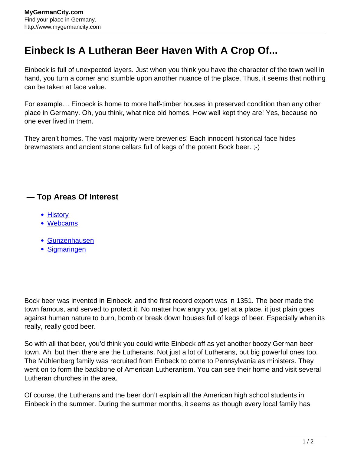## **Einbeck Is A Lutheran Beer Haven With A Crop Of...**

Einbeck is full of unexpected layers. Just when you think you have the character of the town well in hand, you turn a corner and stumble upon another nuance of the place. Thus, it seems that nothing can be taken at face value.

For example… Einbeck is home to more half-timber houses in preserved condition than any other place in Germany. Oh, you think, what nice old homes. How well kept they are! Yes, because no one ever lived in them.

They aren't homes. The vast majority were breweries! Each innocent historical face hides brewmasters and ancient stone cellars full of kegs of the potent Bock beer. ;-)

## **— Top Areas Of Interest**

- [History](http://www.mygermancity.com/leipzig-history)
- [Webcams](http://www.mygermancity.com/neustadt-holstein-webcams)
- [Gunzenhausen](http://www.mygermancity.com/gunzenhausen)
- [Sigmaringen](http://www.mygermancity.com/sigmaringen)

Bock beer was invented in Einbeck, and the first record export was in 1351. The beer made the town famous, and served to protect it. No matter how angry you get at a place, it just plain goes against human nature to burn, bomb or break down houses full of kegs of beer. Especially when its really, really good beer.

So with all that beer, you'd think you could write Einbeck off as yet another boozy German beer town. Ah, but then there are the Lutherans. Not just a lot of Lutherans, but big powerful ones too. The Mühlenberg family was recruited from Einbeck to come to Pennsylvania as ministers. They went on to form the backbone of American Lutheranism. You can see their home and visit several Lutheran churches in the area.

Of course, the Lutherans and the beer don't explain all the American high school students in Einbeck in the summer. During the summer months, it seems as though every local family has